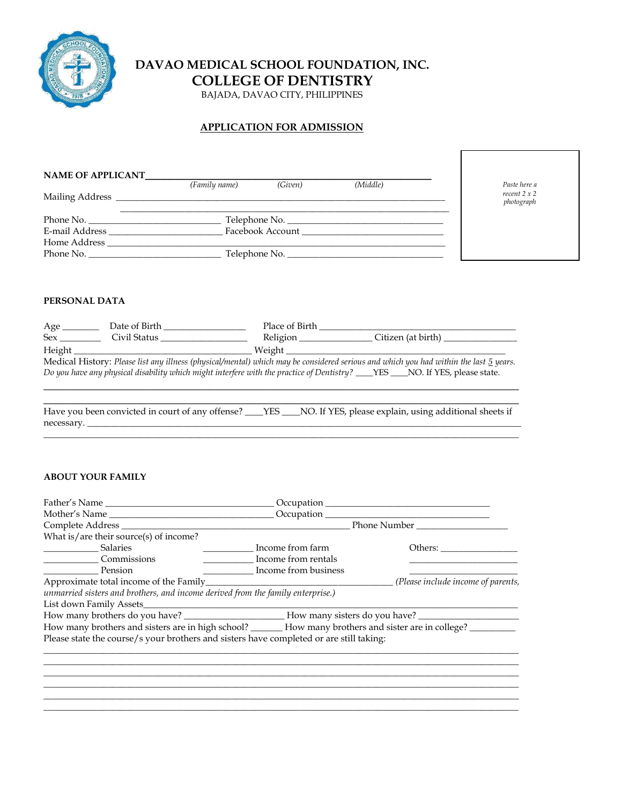

## **DAVAO MEDICAL SCHOOL FOUNDATION, INC.**

**COLLEGE OF DENTISTRY**

BAJADA, DAVAO CITY, PHILIPPINES

#### **APPLICATION FOR ADMISSION**

| <b>NAME OF APPLICANT</b> |               |         |               |                              |  |
|--------------------------|---------------|---------|---------------|------------------------------|--|
|                          | (Family name) | (Given) | (Middle)      | Paste here a<br>recent 2 x 2 |  |
|                          |               |         |               | photograph                   |  |
| Phone No.                |               |         |               |                              |  |
| E-mail Address           |               |         |               |                              |  |
| Home Address             |               |         |               |                              |  |
| Phone No.                |               |         | Telephone No. |                              |  |

#### **PERSONAL DATA**

| Age          | Date of Birth                                                                                                                 | Place of Birth |                                                                                                                                       |
|--------------|-------------------------------------------------------------------------------------------------------------------------------|----------------|---------------------------------------------------------------------------------------------------------------------------------------|
| <b>Sex</b>   | Civil Status                                                                                                                  | Religion       | Citizen (at birth)                                                                                                                    |
| Height $\_\$ |                                                                                                                               | Weight         |                                                                                                                                       |
|              |                                                                                                                               |                | Medical History: Please list any illness (physical/mental) which may be considered serious and which you had within the last 5 years. |
|              | Do you have any physical disability which might interfere with the practice of Dentistry? ___YES ___NO. If YES, please state. |                |                                                                                                                                       |
|              |                                                                                                                               |                |                                                                                                                                       |

\_\_\_\_\_\_\_\_\_\_\_\_\_\_\_\_\_\_\_\_\_\_\_\_\_\_\_\_\_\_\_\_\_\_\_\_\_\_\_\_\_\_\_\_\_\_\_\_\_\_\_\_\_\_\_\_\_\_\_\_\_\_\_\_\_\_\_\_\_\_\_\_\_\_\_\_\_\_ Have you been convicted in court of any offense? \_\_\_\_YES \_\_\_\_NO. If YES, please explain, using additional sheets if necessary. \_\_\_\_\_\_\_\_\_\_\_\_\_\_\_\_\_\_\_\_\_\_\_\_\_\_\_\_\_\_\_\_\_\_\_\_\_\_\_\_\_\_\_\_\_\_\_\_\_\_\_\_\_\_\_\_\_\_\_\_\_\_\_\_\_\_\_\_\_\_\_\_\_\_\_\_\_\_\_\_\_\_\_\_\_\_\_\_\_\_\_\_\_\_\_ \_\_\_\_\_\_\_\_\_\_\_\_\_\_\_\_\_\_\_\_\_\_\_\_\_\_\_\_\_\_\_\_\_\_\_\_\_\_\_\_\_\_\_\_\_\_\_\_\_\_\_\_\_\_\_\_\_\_\_\_\_\_\_\_\_\_\_\_\_\_\_\_\_\_\_\_\_\_\_\_\_\_\_\_\_\_\_\_\_\_\_\_\_\_\_\_\_\_\_\_\_\_\_\_

#### **ABOUT YOUR FAMILY**

|                                                                                                                 | Occupation           |                                    |
|-----------------------------------------------------------------------------------------------------------------|----------------------|------------------------------------|
| Mother's Name                                                                                                   |                      |                                    |
| Complete Address                                                                                                |                      | Phone Number                       |
| What is/are their source(s) of income?                                                                          |                      |                                    |
| <b>Salaries</b>                                                                                                 | Income from farm     |                                    |
| <b>Commissions</b>                                                                                              | Income from rentals  |                                    |
| Pension                                                                                                         | Income from business |                                    |
|                                                                                                                 |                      | (Please include income of parents, |
| unmarried sisters and brothers, and income derived from the family enterprise.)                                 |                      |                                    |
| List down Family Assets_________                                                                                |                      |                                    |
|                                                                                                                 |                      |                                    |
| How many brothers and sisters are in high school? _______ How many brothers and sister are in college? ________ |                      |                                    |
| Please state the course/s your brothers and sisters have completed or are still taking:                         |                      |                                    |
|                                                                                                                 |                      |                                    |
|                                                                                                                 |                      |                                    |
|                                                                                                                 |                      |                                    |

 $\_$  ,  $\_$  ,  $\_$  ,  $\_$  ,  $\_$  ,  $\_$  ,  $\_$  ,  $\_$  ,  $\_$  ,  $\_$  ,  $\_$  ,  $\_$  ,  $\_$  ,  $\_$  ,  $\_$  ,  $\_$  ,  $\_$  ,  $\_$  ,  $\_$  ,  $\_$  ,  $\_$  ,  $\_$  ,  $\_$  ,  $\_$  ,  $\_$  ,  $\_$  ,  $\_$  ,  $\_$  ,  $\_$  ,  $\_$  ,  $\_$  ,  $\_$  ,  $\_$  ,  $\_$  ,  $\_$  ,  $\_$  ,  $\_$  ,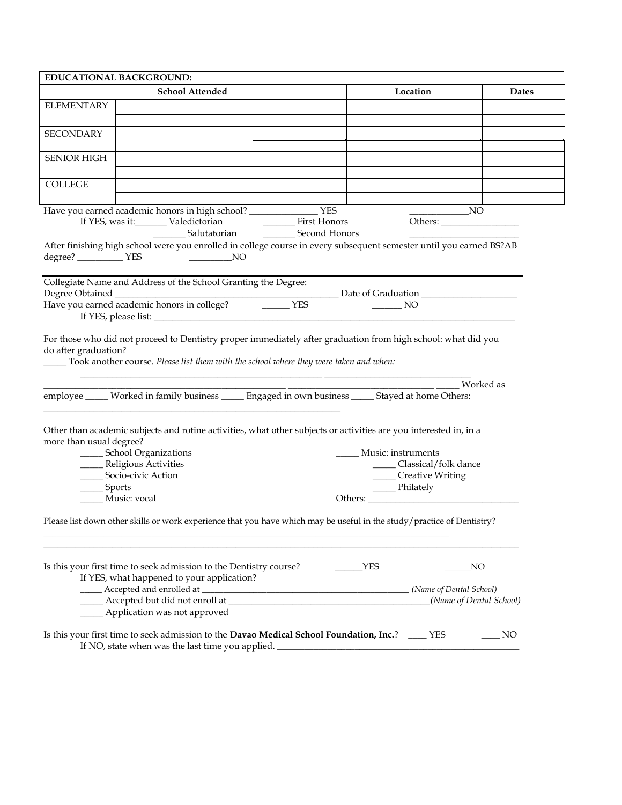| <b>EDUCATIONAL BACKGROUND:</b> |                                                                                                                        |                                           |                         |  |
|--------------------------------|------------------------------------------------------------------------------------------------------------------------|-------------------------------------------|-------------------------|--|
|                                | <b>School Attended</b>                                                                                                 | Location                                  | <b>Dates</b>            |  |
| <b>ELEMENTARY</b>              |                                                                                                                        |                                           |                         |  |
|                                |                                                                                                                        |                                           |                         |  |
| <b>SECONDARY</b>               |                                                                                                                        |                                           |                         |  |
|                                |                                                                                                                        |                                           |                         |  |
| <b>SENIOR HIGH</b>             |                                                                                                                        |                                           |                         |  |
|                                |                                                                                                                        |                                           |                         |  |
| <b>COLLEGE</b>                 |                                                                                                                        |                                           |                         |  |
|                                |                                                                                                                        |                                           |                         |  |
|                                | Have you earned academic honors in high school? _______________________ YES                                            |                                           |                         |  |
|                                |                                                                                                                        |                                           |                         |  |
|                                | __________ Salutatorian ______________ Second Honors                                                                   |                                           |                         |  |
|                                | After finishing high school were you enrolled in college course in every subsequent semester until you earned BS?AB    |                                           |                         |  |
| degree? VES                    |                                                                                                                        |                                           |                         |  |
|                                |                                                                                                                        |                                           |                         |  |
| Degree Obtained                | Collegiate Name and Address of the School Granting the Degree:                                                         |                                           |                         |  |
|                                | Have you earned academic honors in college? THES                                                                       | $\frac{1}{\sqrt{1-\frac{1}{2}}}\text{NO}$ |                         |  |
|                                |                                                                                                                        |                                           |                         |  |
|                                |                                                                                                                        |                                           |                         |  |
|                                | For those who did not proceed to Dentistry proper immediately after graduation from high school: what did you          |                                           |                         |  |
| do after graduation?           |                                                                                                                        |                                           |                         |  |
|                                | Took another course. Please list them with the school where they were taken and when:                                  |                                           |                         |  |
|                                |                                                                                                                        |                                           |                         |  |
|                                |                                                                                                                        |                                           | Worked as               |  |
|                                | employee _____ Worked in family business _____ Engaged in own business _____ Stayed at home Others:                    |                                           |                         |  |
|                                |                                                                                                                        |                                           |                         |  |
|                                | Other than academic subjects and rotine activities, what other subjects or activities are you interested in, in a      |                                           |                         |  |
| more than usual degree?        |                                                                                                                        |                                           |                         |  |
|                                | _____ School Organizations                                                                                             | Music: instruments                        |                         |  |
|                                | _____ Religious Activities<br>______ Classical/folk dance                                                              |                                           |                         |  |
|                                | ______ Socio-civic Action                                                                                              | ______ Creative Writing                   |                         |  |
| ____ Sports                    | ____ Philately                                                                                                         |                                           |                         |  |
|                                | Music: vocal                                                                                                           |                                           |                         |  |
|                                |                                                                                                                        |                                           |                         |  |
|                                | Please list down other skills or work experience that you have which may be useful in the study/practice of Dentistry? |                                           |                         |  |
|                                |                                                                                                                        |                                           |                         |  |
|                                |                                                                                                                        |                                           |                         |  |
|                                | Is this your first time to seek admission to the Dentistry course?                                                     | YES                                       | NO                      |  |
|                                | If YES, what happened to your application?                                                                             |                                           |                         |  |
|                                |                                                                                                                        |                                           |                         |  |
|                                |                                                                                                                        |                                           | (Name of Dental School) |  |
|                                | _____ Application was not approved                                                                                     |                                           |                         |  |
|                                |                                                                                                                        |                                           |                         |  |
|                                | Is this your first time to seek admission to the Davao Medical School Foundation, Inc.? ____ YES                       |                                           | NO <sub>N</sub>         |  |
|                                | If NO, state when was the last time you applied. _______________________________                                       |                                           |                         |  |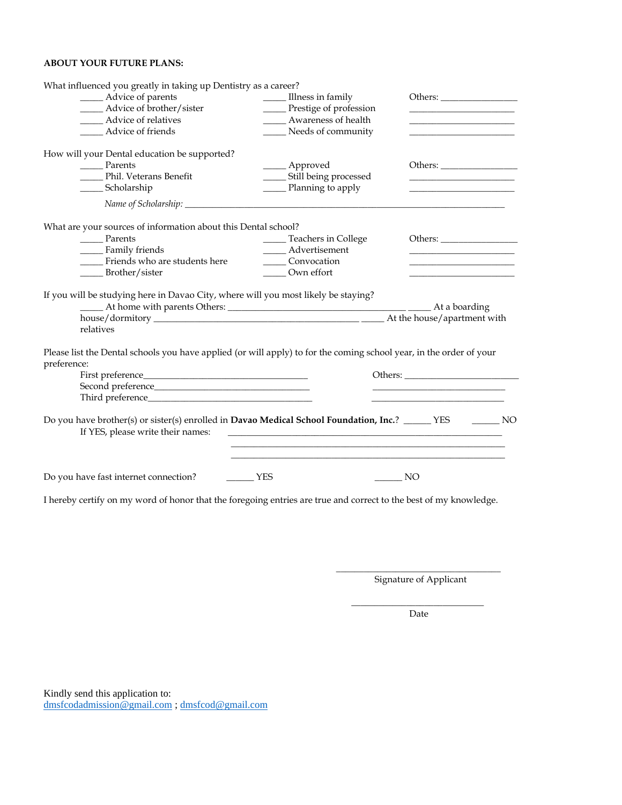### **ABOUT YOUR FUTURE PLANS:**

| What influenced you greatly in taking up Dentistry as a career?                                                                        |                                                                                                                       |                                                             |
|----------------------------------------------------------------------------------------------------------------------------------------|-----------------------------------------------------------------------------------------------------------------------|-------------------------------------------------------------|
| _____ Advice of parents                                                                                                                | Illness in family                                                                                                     |                                                             |
| _____ Advice of brother/sister                                                                                                         | _____ Prestige of profession                                                                                          |                                                             |
| ______ Advice of relatives                                                                                                             | Awareness of health                                                                                                   | the control of the control of the control of the control of |
| ______ Advice of friends                                                                                                               | _____ Needs of community                                                                                              |                                                             |
| How will your Dental education be supported?                                                                                           |                                                                                                                       |                                                             |
| Parents                                                                                                                                | ____ Approved                                                                                                         | Others:                                                     |
| Phil. Veterans Benefit                                                                                                                 | _____ Still being processed                                                                                           |                                                             |
| ______ Scholarship                                                                                                                     | ______ Planning to apply                                                                                              |                                                             |
|                                                                                                                                        |                                                                                                                       |                                                             |
| What are your sources of information about this Dental school?                                                                         |                                                                                                                       |                                                             |
| Parents                                                                                                                                | _____ Teachers in College                                                                                             |                                                             |
| Family friends                                                                                                                         | ____ Advertisement                                                                                                    |                                                             |
| Friends who are students here                                                                                                          | Convocation                                                                                                           | <u> 1990 - Johann John Stone, market fransk politiker (</u> |
| Brother/sister                                                                                                                         | Own effort                                                                                                            |                                                             |
| If you will be studying here in Davao City, where will you most likely be staying?<br>relatives                                        |                                                                                                                       |                                                             |
| Please list the Dental schools you have applied (or will apply) to for the coming school year, in the order of your                    |                                                                                                                       |                                                             |
| preference:                                                                                                                            |                                                                                                                       |                                                             |
|                                                                                                                                        |                                                                                                                       |                                                             |
|                                                                                                                                        |                                                                                                                       |                                                             |
|                                                                                                                                        |                                                                                                                       |                                                             |
| Do you have brother(s) or sister(s) enrolled in Davao Medical School Foundation, Inc.? ______ YES<br>If YES, please write their names: | <u> 1989 - Johann Harry Harry Harry Harry Harry Harry Harry Harry Harry Harry Harry Harry Harry Harry Harry Harry</u> | $\sim$ NO                                                   |
|                                                                                                                                        |                                                                                                                       | $\rule{1em}{0.15mm}$ NO                                     |
| I hereby certify on my word of honor that the foregoing entries are true and correct to the best of my knowledge.                      |                                                                                                                       |                                                             |

\_\_\_\_\_\_\_\_\_\_\_\_\_\_\_\_\_\_\_\_\_\_\_\_\_\_\_\_\_\_\_\_\_\_\_\_ Signature of Applicant

\_\_\_\_\_\_\_\_\_\_\_\_\_\_\_\_\_\_\_\_\_\_\_\_\_\_\_\_\_ Date

Kindly send this application to: [dmsfcodadmission@gmail.com](mailto:dmsfcodadmission@gmail.com) ; [dmsfcod@gmail.com](mailto:dmsfcod@gmail.com)